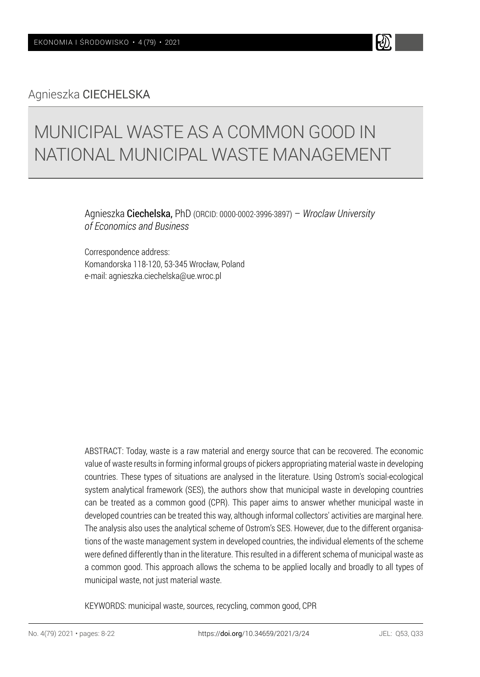Agnieszka CIECHELSKA

# MUNICIPAL WASTE AS A COMMON GOOD IN NATIONAL MUNICIPAL WASTE MANAGEMENT

Agnieszka Ciechelska, PhD (ORCID: 0000-0002-3996-3897) – *Wroclaw University of Economics and Business*

Correspondence address: Komandorska 118-120, 53-345 Wrocław, Poland e-mail: agnieszka.ciechelska@ue.wroc.pl

ABSTRACT: Today, waste is a raw material and energy source that can be recovered. The economic value of waste results in forming informal groups of pickers appropriating material waste in developing countries. These types of situations are analysed in the literature. Using Ostrom's social-ecological system analytical framework (SES), the authors show that municipal waste in developing countries can be treated as a common good (CPR). This paper aims to answer whether municipal waste in developed countries can be treated this way, although informal collectors' activities are marginal here. The analysis also uses the analytical scheme of Ostrom's SES. However, due to the different organisations of the waste management system in developed countries, the individual elements of the scheme were defined differently than in the literature. This resulted in a different schema of municipal waste as a common good. This approach allows the schema to be applied locally and broadly to all types of municipal waste, not just material waste.

KEYWORDS: municipal waste, sources, recycling, common good, CPR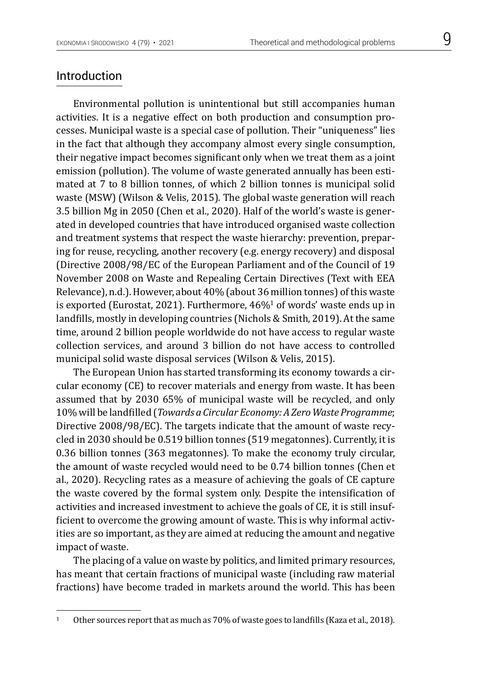#### Introduction

Environmental pollution is unintentional but still accompanies human activities. It is a negative effect on both production and consumption processes. Municipal waste is a special case of pollution. Their "uniqueness" lies in the fact that although they accompany almost every single consumption, their negative impact becomes significant only when we treat them as a joint emission (pollution). The volume of waste generated annually has been estimated at 7 to 8 billion tonnes, of which 2 billion tonnes is municipal solid waste (MSW) (Wilson & Velis, 2015). The global waste generation will reach 3.5 billion Mg in 2050 (Chen et al., 2020). Half of the world's waste is generated in developed countries that have introduced organised waste collection and treatment systems that respect the waste hierarchy: prevention, preparing for reuse, recycling, another recovery (e.g. energy recovery) and disposal (Directive 2008/98/EC of the European Parliament and of the Council of 19 November 2008 on Waste and Repealing Certain Directives (Text with EEA Relevance), n.d.). However, about 40% (about 36 million tonnes) of this waste is exported (Eurostat, 2021). Furthermore, 46%1 of words' waste ends up in landfills, mostly in developing countries (Nichols & Smith, 2019). At the same time, around 2 billion people worldwide do not have access to regular waste collection services, and around 3 billion do not have access to controlled municipal solid waste disposal services (Wilson & Velis, 2015).

The European Union has started transforming its economy towards a circular economy (CE) to recover materials and energy from waste. It has been assumed that by 2030 65% of municipal waste will be recycled, and only 10% will be landfilled (*Towards a Circular Economy: A Zero Waste Programme*; Directive 2008/98/EC). The targets indicate that the amount of waste recycled in 2030 should be 0.519 billion tonnes (519 megatonnes). Currently, it is 0.36 billion tonnes (363 megatonnes). To make the economy truly circular, the amount of waste recycled would need to be 0.74 billion tonnes (Chen et al., 2020). Recycling rates as a measure of achieving the goals of CE capture the waste covered by the formal system only. Despite the intensification of activities and increased investment to achieve the goals of CE, it is still insufficient to overcome the growing amount of waste. This is why informal activities are so important, as they are aimed at reducing the amount and negative impact of waste.

The placing of a value on waste by politics, and limited primary resources, has meant that certain fractions of municipal waste (including raw material fractions) have become traded in markets around the world. This has been

<sup>&</sup>lt;sup>1</sup> Other sources report that as much as 70% of waste goes to landfills (Kaza et al., 2018).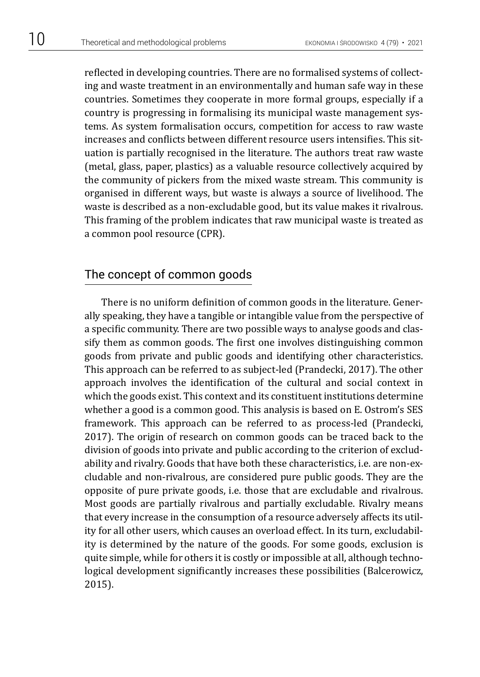reflected in developing countries. There are no formalised systems of collecting and waste treatment in an environmentally and human safe way in these countries. Sometimes they cooperate in more formal groups, especially if a country is progressing in formalising its municipal waste management systems. As system formalisation occurs, competition for access to raw waste increases and conflicts between different resource users intensifies. This situation is partially recognised in the literature. The authors treat raw waste (metal, glass, paper, plastics) as a valuable resource collectively acquired by the community of pickers from the mixed waste stream. This community is organised in different ways, but waste is always a source of livelihood. The waste is described as a non-excludable good, but its value makes it rivalrous. This framing of the problem indicates that raw municipal waste is treated as a common pool resource (CPR).

## The concept of common goods

There is no uniform definition of common goods in the literature. Generally speaking, they have a tangible or intangible value from the perspective of a specific community. There are two possible ways to analyse goods and classify them as common goods. The first one involves distinguishing common goods from private and public goods and identifying other characteristics. This approach can be referred to as subject-led (Prandecki, 2017). The other approach involves the identification of the cultural and social context in which the goods exist. This context and its constituent institutions determine whether a good is a common good. This analysis is based on E. Ostrom's SES framework. This approach can be referred to as process-led (Prandecki, 2017). The origin of research on common goods can be traced back to the division of goods into private and public according to the criterion of excludability and rivalry. Goods that have both these characteristics, i.e. are non-excludable and non-rivalrous, are considered pure public goods. They are the opposite of pure private goods, i.e. those that are excludable and rivalrous. Most goods are partially rivalrous and partially excludable. Rivalry means that every increase in the consumption of a resource adversely affects its utility for all other users, which causes an overload effect. In its turn, excludability is determined by the nature of the goods. For some goods, exclusion is quite simple, while for others it is costly or impossible at all, although technological development significantly increases these possibilities (Balcerowicz, 2015).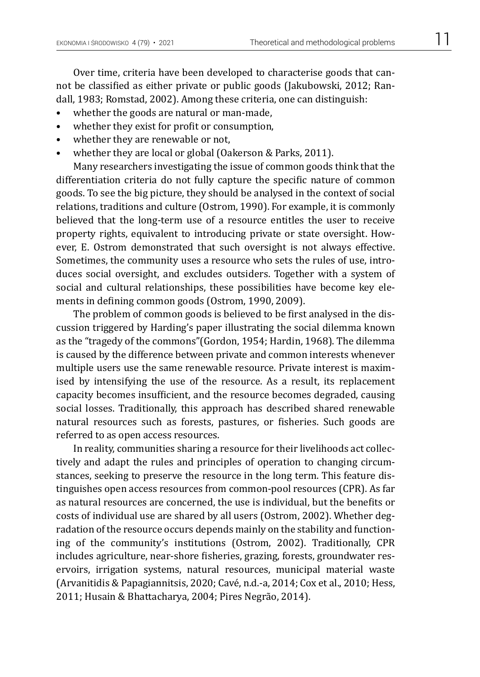Over time, criteria have been developed to characterise goods that cannot be classified as either private or public goods (Jakubowski, 2012; Randall, 1983; Romstad, 2002). Among these criteria, one can distinguish:

- whether the goods are natural or man-made,
- whether they exist for profit or consumption,
- whether they are renewable or not.
- whether they are local or global (Oakerson & Parks, 2011).

Many researchers investigating the issue of common goods think that the differentiation criteria do not fully capture the specific nature of common goods. To see the big picture, they should be analysed in the context of social relations, traditions and culture (Ostrom, 1990). For example, it is commonly believed that the long-term use of a resource entitles the user to receive property rights, equivalent to introducing private or state oversight. However, E. Ostrom demonstrated that such oversight is not always effective. Sometimes, the community uses a resource who sets the rules of use, introduces social oversight, and excludes outsiders. Together with a system of social and cultural relationships, these possibilities have become key elements in defining common goods (Ostrom, 1990, 2009).

The problem of common goods is believed to be first analysed in the discussion triggered by Harding's paper illustrating the social dilemma known as the "tragedy of the commons"(Gordon, 1954; Hardin, 1968). The dilemma is caused by the difference between private and common interests whenever multiple users use the same renewable resource. Private interest is maximised by intensifying the use of the resource. As a result, its replacement capacity becomes insufficient, and the resource becomes degraded, causing social losses. Traditionally, this approach has described shared renewable natural resources such as forests, pastures, or fisheries. Such goods are referred to as open access resources.

In reality, communities sharing a resource for their livelihoods act collectively and adapt the rules and principles of operation to changing circumstances, seeking to preserve the resource in the long term. This feature distinguishes open access resources from common-pool resources (CPR). As far as natural resources are concerned, the use is individual, but the benefits or costs of individual use are shared by all users (Ostrom, 2002). Whether degradation of the resource occurs depends mainly on the stability and functioning of the community's institutions (Ostrom, 2002). Traditionally, CPR includes agriculture, near-shore fisheries, grazing, forests, groundwater reservoirs, irrigation systems, natural resources, municipal material waste (Arvanitidis & Papagiannitsis, 2020; Cavé, n.d.-a, 2014; Cox et al., 2010; Hess, 2011; Husain & Bhattacharya, 2004; Pires Negrão, 2014).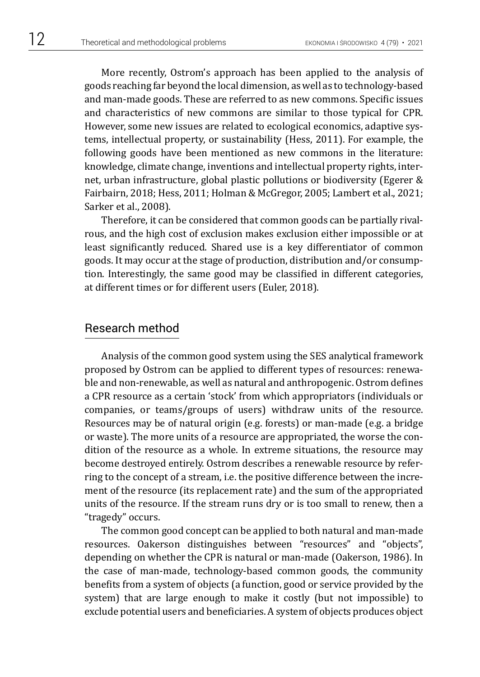More recently, Ostrom's approach has been applied to the analysis of goods reaching far beyond the local dimension, as well as to technology-based and man-made goods. These are referred to as new commons. Specific issues and characteristics of new commons are similar to those typical for CPR. However, some new issues are related to ecological economics, adaptive systems, intellectual property, or sustainability (Hess, 2011). For example, the following goods have been mentioned as new commons in the literature: knowledge, climate change, inventions and intellectual property rights, internet, urban infrastructure, global plastic pollutions or biodiversity (Egerer & Fairbairn, 2018; Hess, 2011; Holman & McGregor, 2005; Lambert et al., 2021; Sarker et al., 2008).

Therefore, it can be considered that common goods can be partially rivalrous, and the high cost of exclusion makes exclusion either impossible or at least significantly reduced. Shared use is a key differentiator of common goods. It may occur at the stage of production, distribution and/or consumption. Interestingly, the same good may be classified in different categories, at different times or for different users (Euler, 2018).

#### Research method

Analysis of the common good system using the SES analytical framework proposed by Ostrom can be applied to different types of resources: renewable and non-renewable, as well as natural and anthropogenic. Ostrom defines a CPR resource as a certain 'stock' from which appropriators (individuals or companies, or teams/groups of users) withdraw units of the resource. Resources may be of natural origin (e.g. forests) or man-made (e.g. a bridge or waste). The more units of a resource are appropriated, the worse the condition of the resource as a whole. In extreme situations, the resource may become destroyed entirely. Ostrom describes a renewable resource by referring to the concept of a stream, i.e. the positive difference between the increment of the resource (its replacement rate) and the sum of the appropriated units of the resource. If the stream runs dry or is too small to renew, then a "tragedy" occurs.

The common good concept can be applied to both natural and man-made resources. Oakerson distinguishes between "resources" and "objects", depending on whether the CPR is natural or man-made (Oakerson, 1986). In the case of man-made, technology-based common goods, the community benefits from a system of objects (a function, good or service provided by the system) that are large enough to make it costly (but not impossible) to exclude potential users and beneficiaries. A system of objects produces object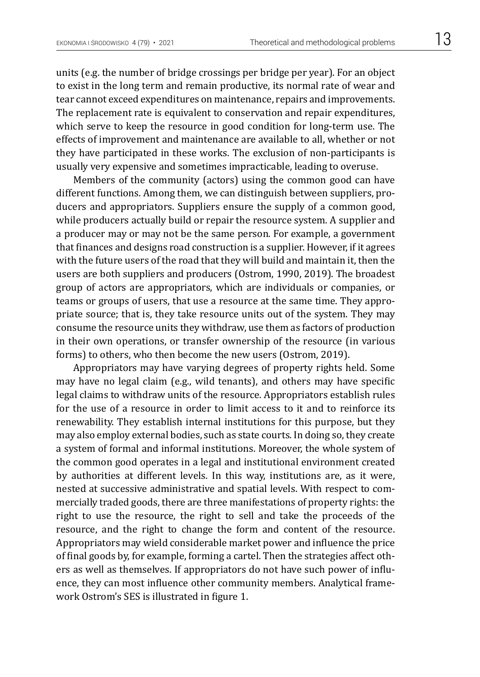units (e.g. the number of bridge crossings per bridge per year). For an object to exist in the long term and remain productive, its normal rate of wear and tear cannot exceed expenditures on maintenance, repairs and improvements. The replacement rate is equivalent to conservation and repair expenditures, which serve to keep the resource in good condition for long-term use. The effects of improvement and maintenance are available to all, whether or not they have participated in these works. The exclusion of non-participants is usually very expensive and sometimes impracticable, leading to overuse.

Members of the community (actors) using the common good can have different functions. Among them, we can distinguish between suppliers, producers and appropriators. Suppliers ensure the supply of a common good, while producers actually build or repair the resource system. A supplier and a producer may or may not be the same person. For example, a government that finances and designs road construction is a supplier. However, if it agrees with the future users of the road that they will build and maintain it, then the users are both suppliers and producers (Ostrom, 1990, 2019). The broadest group of actors are appropriators, which are individuals or companies, or teams or groups of users, that use a resource at the same time. They appropriate source; that is, they take resource units out of the system. They may consume the resource units they withdraw, use them as factors of production in their own operations, or transfer ownership of the resource (in various forms) to others, who then become the new users (Ostrom, 2019).

Appropriators may have varying degrees of property rights held. Some may have no legal claim (e.g., wild tenants), and others may have specific legal claims to withdraw units of the resource. Appropriators establish rules for the use of a resource in order to limit access to it and to reinforce its renewability. They establish internal institutions for this purpose, but they may also employ external bodies, such as state courts. In doing so, they create a system of formal and informal institutions. Moreover, the whole system of the common good operates in a legal and institutional environment created by authorities at different levels. In this way, institutions are, as it were, nested at successive administrative and spatial levels. With respect to commercially traded goods, there are three manifestations of property rights: the right to use the resource, the right to sell and take the proceeds of the resource, and the right to change the form and content of the resource. Appropriators may wield considerable market power and influence the price of final goods by, for example, forming a cartel. Then the strategies affect others as well as themselves. If appropriators do not have such power of influence, they can most influence other community members. Analytical framework Ostrom's SES is illustrated in figure 1.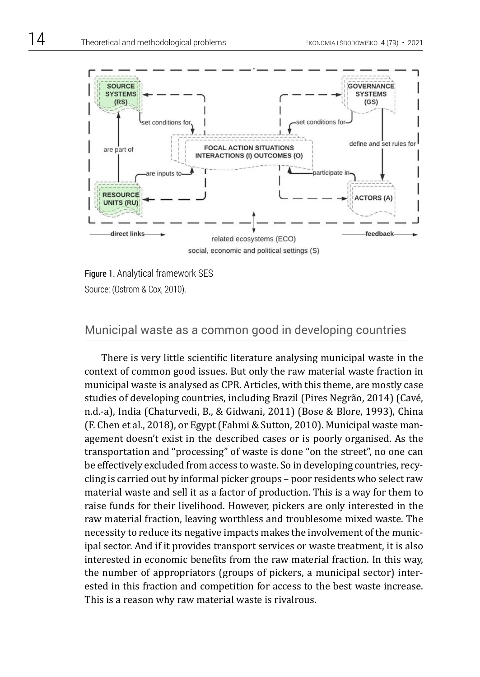

Figure 1. Analytical framework SES Source: (Ostrom & Cox, 2010).

#### Municipal waste as a common good in developing countries

There is very little scientific literature analysing municipal waste in the context of common good issues. But only the raw material waste fraction in municipal waste is analysed as CPR. Articles, with this theme, are mostly case studies of developing countries, including Brazil (Pires Negrão, 2014) (Cavé, n.d.-a), India (Chaturvedi, B., & Gidwani, 2011) (Bose & Blore, 1993), China (F. Chen et al., 2018), or Egypt (Fahmi & Sutton, 2010). Municipal waste management doesn't exist in the described cases or is poorly organised. As the transportation and "processing" of waste is done "on the street", no one can be effectively excluded from access to waste. So in developing countries, recycling is carried out by informal picker groups – poor residents who select raw material waste and sell it as a factor of production. This is a way for them to raise funds for their livelihood. However, pickers are only interested in the raw material fraction, leaving worthless and troublesome mixed waste. The necessity to reduce its negative impacts makes the involvement of the municipal sector. And if it provides transport services or waste treatment, it is also interested in economic benefits from the raw material fraction. In this way, the number of appropriators (groups of pickers, a municipal sector) interested in this fraction and competition for access to the best waste increase. This is a reason why raw material waste is rivalrous.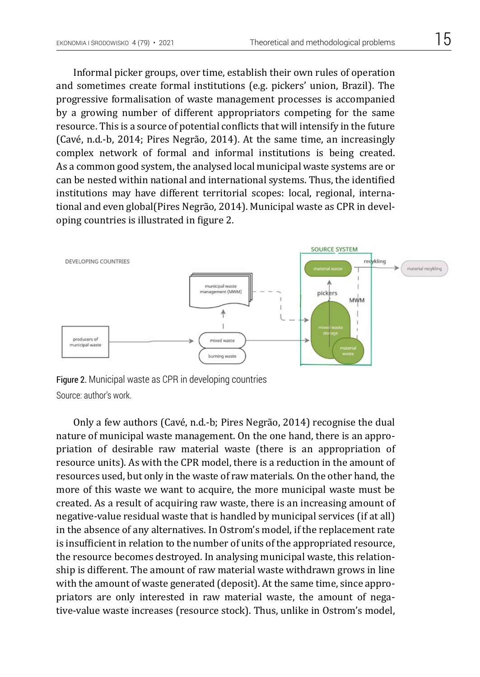Informal picker groups, over time, establish their own rules of operation and sometimes create formal institutions (e.g. pickers' union, Brazil). The progressive formalisation of waste management processes is accompanied by a growing number of different appropriators competing for the same resource. This is a source of potential conflicts that will intensify in the future (Cavé, n.d.-b, 2014; Pires Negrão, 2014). At the same time, an increasingly complex network of formal and informal institutions is being created. As a common good system, the analysed local municipal waste systems are or can be nested within national and international systems. Thus, the identified institutions may have different territorial scopes: local, regional, international and even global(Pires Negrão, 2014). Municipal waste as CPR in developing countries is illustrated in figure 2.



Figure 2. Municipal waste as CPR in developing countries Source: author's work.

Only a few authors (Cavé, n.d.-b; Pires Negrão, 2014) recognise the dual nature of municipal waste management. On the one hand, there is an appropriation of desirable raw material waste (there is an appropriation of resource units). As with the CPR model, there is a reduction in the amount of resources used, but only in the waste of raw materials. On the other hand, the more of this waste we want to acquire, the more municipal waste must be created. As a result of acquiring raw waste, there is an increasing amount of negative-value residual waste that is handled by municipal services (if at all) in the absence of any alternatives. In Ostrom's model, if the replacement rate is insufficient in relation to the number of units of the appropriated resource, the resource becomes destroyed. In analysing municipal waste, this relationship is different. The amount of raw material waste withdrawn grows in line with the amount of waste generated (deposit). At the same time, since appropriators are only interested in raw material waste, the amount of negative-value waste increases (resource stock). Thus, unlike in Ostrom's model,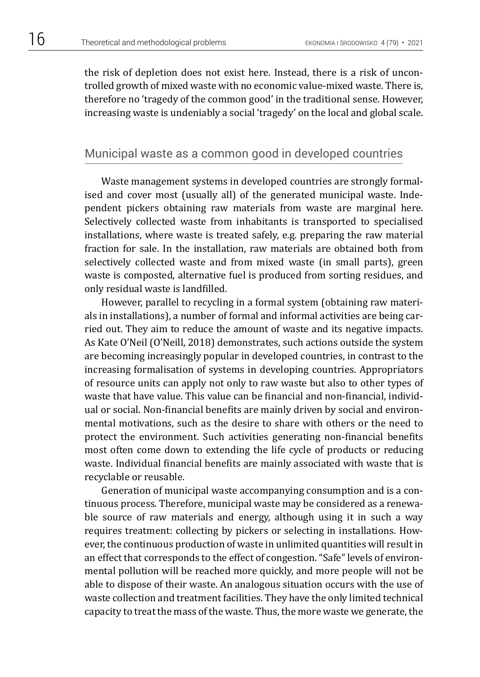the risk of depletion does not exist here. Instead, there is a risk of uncontrolled growth of mixed waste with no economic value-mixed waste. There is, therefore no 'tragedy of the common good' in the traditional sense. However, increasing waste is undeniably a social 'tragedy' on the local and global scale.

## Municipal waste as a common good in developed countries

Waste management systems in developed countries are strongly formalised and cover most (usually all) of the generated municipal waste. Independent pickers obtaining raw materials from waste are marginal here. Selectively collected waste from inhabitants is transported to specialised installations, where waste is treated safely, e.g. preparing the raw material fraction for sale. In the installation, raw materials are obtained both from selectively collected waste and from mixed waste (in small parts), green waste is composted, alternative fuel is produced from sorting residues, and only residual waste is landfilled.

However, parallel to recycling in a formal system (obtaining raw materials in installations), a number of formal and informal activities are being carried out. They aim to reduce the amount of waste and its negative impacts. As Kate O'Neil (O'Neill, 2018) demonstrates, such actions outside the system are becoming increasingly popular in developed countries, in contrast to the increasing formalisation of systems in developing countries. Appropriators of resource units can apply not only to raw waste but also to other types of waste that have value. This value can be financial and non-financial, individual or social. Non-financial benefits are mainly driven by social and environmental motivations, such as the desire to share with others or the need to protect the environment. Such activities generating non-financial benefits most often come down to extending the life cycle of products or reducing waste. Individual financial benefits are mainly associated with waste that is recyclable or reusable.

Generation of municipal waste accompanying consumption and is a continuous process. Therefore, municipal waste may be considered as a renewable source of raw materials and energy, although using it in such a way requires treatment: collecting by pickers or selecting in installations. However, the continuous production of waste in unlimited quantities will result in an effect that corresponds to the effect of congestion. "Safe" levels of environmental pollution will be reached more quickly, and more people will not be able to dispose of their waste. An analogous situation occurs with the use of waste collection and treatment facilities. They have the only limited technical capacity to treat the mass of the waste. Thus, the more waste we generate, the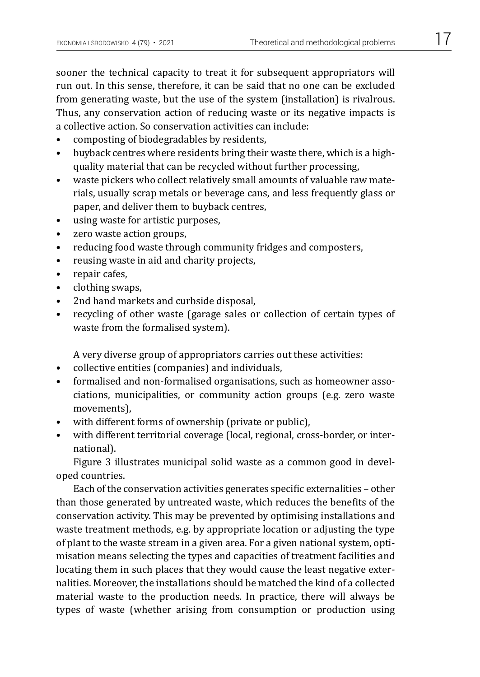sooner the technical capacity to treat it for subsequent appropriators will run out. In this sense, therefore, it can be said that no one can be excluded from generating waste, but the use of the system (installation) is rivalrous. Thus, any conservation action of reducing waste or its negative impacts is a collective action. So conservation activities can include:

- composting of biodegradables by residents,
- buyback centres where residents bring their waste there, which is a highquality material that can be recycled without further processing,
- waste pickers who collect relatively small amounts of valuable raw materials, usually scrap metals or beverage cans, and less frequently glass or paper, and deliver them to buyback centres,
- using waste for artistic purposes,
- zero waste action groups,
- reducing food waste through community fridges and composters,
- reusing waste in aid and charity projects,
- repair cafes,
- clothing swaps,
- 2nd hand markets and curbside disposal,
- recycling of other waste (garage sales or collection of certain types of waste from the formalised system).

A very diverse group of appropriators carries out these activities:

- collective entities (companies) and individuals,
- formalised and non-formalised organisations, such as homeowner associations, municipalities, or community action groups (e.g. zero waste movements),
- with different forms of ownership (private or public),
- with different territorial coverage (local, regional, cross-border, or international).

Figure 3 illustrates municipal solid waste as a common good in developed countries.

Each of the conservation activities generates specific externalities – other than those generated by untreated waste, which reduces the benefits of the conservation activity. This may be prevented by optimising installations and waste treatment methods, e.g. by appropriate location or adjusting the type of plant to the waste stream in a given area. For a given national system, optimisation means selecting the types and capacities of treatment facilities and locating them in such places that they would cause the least negative externalities. Moreover, the installations should be matched the kind of a collected material waste to the production needs. In practice, there will always be types of waste (whether arising from consumption or production using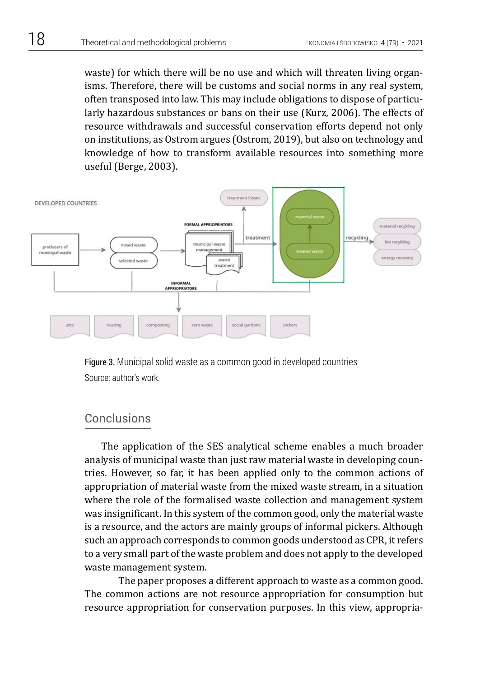waste) for which there will be no use and which will threaten living organisms. Therefore, there will be customs and social norms in any real system, often transposed into law. This may include obligations to dispose of particularly hazardous substances or bans on their use (Kurz, 2006). The effects of resource withdrawals and successful conservation efforts depend not only on institutions, as Ostrom argues (Ostrom, 2019), but also on technology and knowledge of how to transform available resources into something more useful (Berge, 2003).



Figure 3. Municipal solid waste as a common good in developed countries Source: author's work.

# Conclusions

The application of the SES analytical scheme enables a much broader analysis of municipal waste than just raw material waste in developing countries. However, so far, it has been applied only to the common actions of appropriation of material waste from the mixed waste stream, in a situation where the role of the formalised waste collection and management system was insignificant. In this system of the common good, only the material waste is a resource, and the actors are mainly groups of informal pickers. Although such an approach corresponds to common goods understood as CPR, it refers to a very small part of the waste problem and does not apply to the developed waste management system.

The paper proposes a different approach to waste as a common good. The common actions are not resource appropriation for consumption but resource appropriation for conservation purposes. In this view, appropria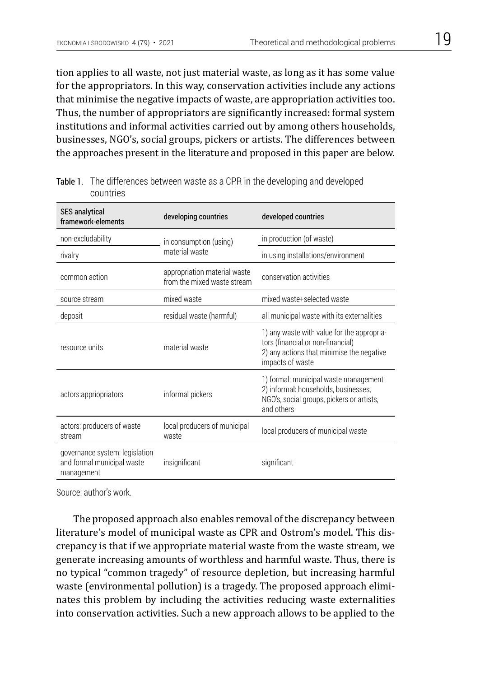tion applies to all waste, not just material waste, as long as it has some value for the appropriators. In this way, conservation activities include any actions that minimise the negative impacts of waste, are appropriation activities too. Thus, the number of appropriators are significantly increased: formal system institutions and informal activities carried out by among others households, businesses, NGO's, social groups, pickers or artists. The differences between the approaches present in the literature and proposed in this paper are below.

| <b>SES</b> analytical<br>framework-elements                                | developing countries                                        | developed countries                                                                                                                              |
|----------------------------------------------------------------------------|-------------------------------------------------------------|--------------------------------------------------------------------------------------------------------------------------------------------------|
| non-excludability                                                          | in consumption (using)<br>material waste                    | in production (of waste)                                                                                                                         |
| rivalry                                                                    |                                                             | in using installations/environment                                                                                                               |
| common action                                                              | appropriation material waste<br>from the mixed waste stream | conservation activities                                                                                                                          |
| source stream                                                              | mixed waste                                                 | mixed waste+selected waste                                                                                                                       |
| deposit                                                                    | residual waste (harmful)                                    | all municipal waste with its externalities                                                                                                       |
| resource units                                                             | material waste                                              | 1) any waste with value for the appropria-<br>tors (financial or non-financial)<br>2) any actions that minimise the negative<br>impacts of waste |
| actors:appriopriators                                                      | informal pickers                                            | 1) formal: municipal waste management<br>2) informal: households, businesses,<br>NGO's, social groups, pickers or artists,<br>and others         |
| actors: producers of waste<br>stream                                       | local producers of municipal<br>waste                       | local producers of municipal waste                                                                                                               |
| governance system: legislation<br>and formal municipal waste<br>management | insignificant                                               | significant                                                                                                                                      |

Table 1. The differences between waste as a CPR in the developing and developed countries

Source: author's work.

The proposed approach also enables removal of the discrepancy between literature's model of municipal waste as CPR and Ostrom's model. This discrepancy is that if we appropriate material waste from the waste stream, we generate increasing amounts of worthless and harmful waste. Thus, there is no typical "common tragedy" of resource depletion, but increasing harmful waste (environmental pollution) is a tragedy. The proposed approach eliminates this problem by including the activities reducing waste externalities into conservation activities. Such a new approach allows to be applied to the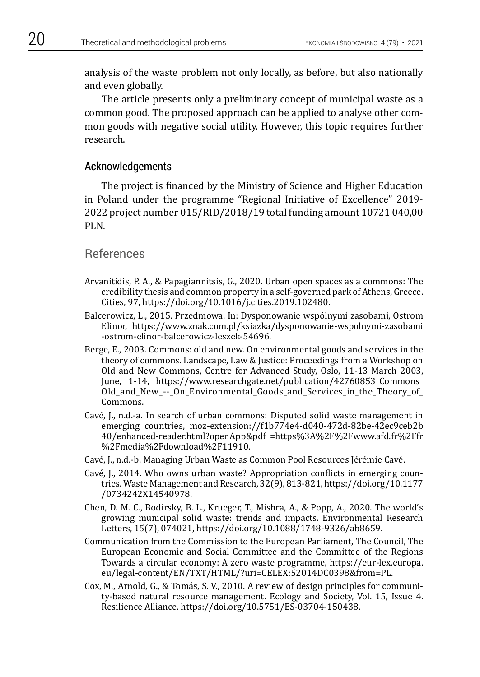analysis of the waste problem not only locally, as before, but also nationally and even globally.

The article presents only a preliminary concept of municipal waste as a common good. The proposed approach can be applied to analyse other common goods with negative social utility. However, this topic requires further research.

#### Acknowledgements

The project is financed by the Ministry of Science and Higher Education in Poland under the programme "Regional Initiative of Excellence" 2019- 2022 project number 015/RID/2018/19 total funding amount 10721 040,00 PLN.

## References

- Arvanitidis, P. A., & Papagiannitsis, G., 2020. Urban open spaces as a commons: The credibility thesis and common property in a self-governed park of Athens, Greece. Cities, 97, https://doi.org/10.1016/j.cities.2019.102480.
- Balcerowicz, L., 2015. Przedmowa. In: Dysponowanie wspólnymi zasobami, Ostrom Elinor, https://www.znak.com.pl/ksiazka/dysponowanie-wspolnymi-zasobami -ostrom-elinor-balcerowicz-leszek-54696.
- Berge, E., 2003. Commons: old and new. On environmental goods and services in the theory of commons. Landscape, Law & Justice: Proceedings from a Workshop on Old and New Commons, Centre for Advanced Study, Oslo, 11-13 March 2003, June, 1-14, https://www.researchgate.net/publication/42760853\_Commons\_ Old\_and\_New\_--\_On\_Environmental\_Goods\_and\_Services\_in\_the\_Theory\_of\_ Commons.
- Cavé, J., n.d.-a. In search of urban commons: Disputed solid waste management in emerging countries, moz-extension://f1b774e4-d040-472d-82be-42ec9ceb2b 40/enhanced-reader.html?openApp&pdf =https%3A%2F%2Fwww.afd.fr%2Ffr %2Fmedia%2Fdownload%2F11910.
- Cavé, J., n.d.-b. Managing Urban Waste as Common Pool Resources Jérémie Cavé.
- Cavé, J., 2014. Who owns urban waste? Appropriation conflicts in emerging countries. Waste Management and Research, 32(9), 813-821, https://doi.org/10.1177 /0734242X14540978.
- Chen, D. M. C., Bodirsky, B. L., Krueger, T., Mishra, A., & Popp, A., 2020. The world's growing municipal solid waste: trends and impacts. Environmental Research Letters, 15(7), 074021, https://doi.org/10.1088/1748-9326/ab8659.
- Communication from the Commission to the European Parliament, The Council, The European Economic and Social Committee and the Committee of the Regions Towards a circular economy: A zero waste programme, https://eur-lex.europa. eu/legal-content/EN/TXT/HTML/?uri=CELEX:52014DC0398&from=PL.
- Cox, M., Arnold, G., & Tomás, S. V., 2010. A review of design principles for community-based natural resource management. Ecology and Society, Vol. 15, Issue 4. Resilience Alliance. https://doi.org/10.5751/ES-03704-150438.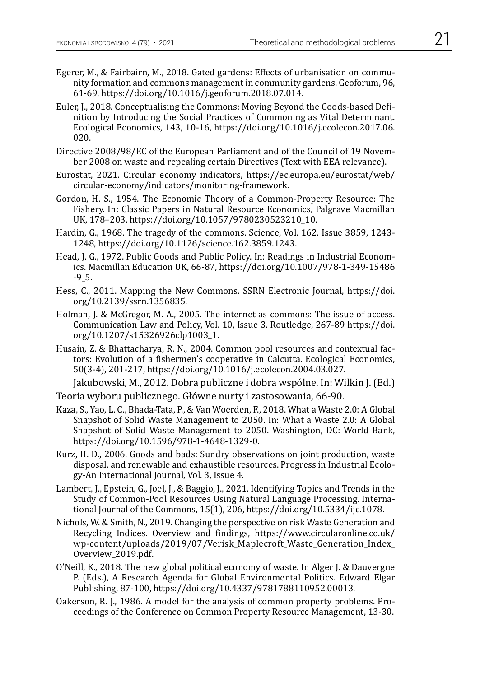- Egerer, M., & Fairbairn, M., 2018. Gated gardens: Effects of urbanisation on community formation and commons management in community gardens. Geoforum, 96, 61-69, https://doi.org/10.1016/j.geoforum.2018.07.014.
- Euler, J., 2018. Conceptualising the Commons: Moving Beyond the Goods-based Definition by Introducing the Social Practices of Commoning as Vital Determinant. Ecological Economics, 143, 10-16, https://doi.org/10.1016/j.ecolecon.2017.06. 020.
- Directive 2008/98/EC of the European Parliament and of the Council of 19 November 2008 on waste and repealing certain Directives (Text with EEA relevance).
- Eurostat, 2021. Circular economy indicators, https://ec.europa.eu/eurostat/web/ circular-economy/indicators/monitoring-framework.
- Gordon, H. S., 1954. The Economic Theory of a Common-Property Resource: The Fishery. In: Classic Papers in Natural Resource Economics, Palgrave Macmillan UK, 178–203, https://doi.org/10.1057/9780230523210\_10.
- Hardin, G., 1968. The tragedy of the commons. Science, Vol. 162, Issue 3859, 1243- 1248, https://doi.org/10.1126/science.162.3859.1243.
- Head, J. G., 1972. Public Goods and Public Policy. In: Readings in Industrial Economics. Macmillan Education UK, 66-87, https://doi.org/10.1007/978-1-349-15486 -9\_5.
- Hess, C., 2011. Mapping the New Commons. SSRN Electronic Journal, https://doi. org/10.2139/ssrn.1356835.
- Holman, J. & McGregor, M. A., 2005. The internet as commons: The issue of access. Communication Law and Policy, Vol. 10, Issue 3. Routledge, 267-89 https://doi. org/10.1207/s15326926clp1003\_1.
- Husain, Z. & Bhattacharya, R. N., 2004. Common pool resources and contextual factors: Evolution of a fishermen's cooperative in Calcutta. Ecological Economics, 50(3-4), 201-217, https://doi.org/10.1016/j.ecolecon.2004.03.027.

Jakubowski, M., 2012. Dobra publiczne i dobra wspólne. In: Wilkin J. (Ed.)

- Teoria wyboru publicznego. Główne nurty i zastosowania, 66-90.
- Kaza, S., Yao, L. C., Bhada-Tata, P., & Van Woerden, F., 2018. What a Waste 2.0: A Global Snapshot of Solid Waste Management to 2050. In: What a Waste 2.0: A Global Snapshot of Solid Waste Management to 2050. Washington, DC: World Bank, https://doi.org/10.1596/978-1-4648-1329-0.
- Kurz, H. D., 2006. Goods and bads: Sundry observations on joint production, waste disposal, and renewable and exhaustible resources. Progress in Industrial Ecology-An International Journal, Vol. 3, Issue 4.
- Lambert, J., Epstein, G., Joel, J., & Baggio, J., 2021. Identifying Topics and Trends in the Study of Common-Pool Resources Using Natural Language Processing. International Journal of the Commons, 15(1), 206, https://doi.org/10.5334/ijc.1078.
- Nichols, W. & Smith, N., 2019. Changing the perspective on risk Waste Generation and Recycling Indices. Overview and findings, https://www.circularonline.co.uk/ wp-content/uploads/2019/07/Verisk\_Maplecroft\_Waste\_Generation\_Index\_ Overview\_2019.pdf.
- O'Neill, K., 2018. The new global political economy of waste. In Alger J. & Dauvergne P. (Eds.), A Research Agenda for Global Environmental Politics. Edward Elgar Publishing, 87-100, https://doi.org/10.4337/9781788110952.00013.
- Oakerson, R. J., 1986. A model for the analysis of common property problems. Proceedings of the Conference on Common Property Resource Management, 13-30.